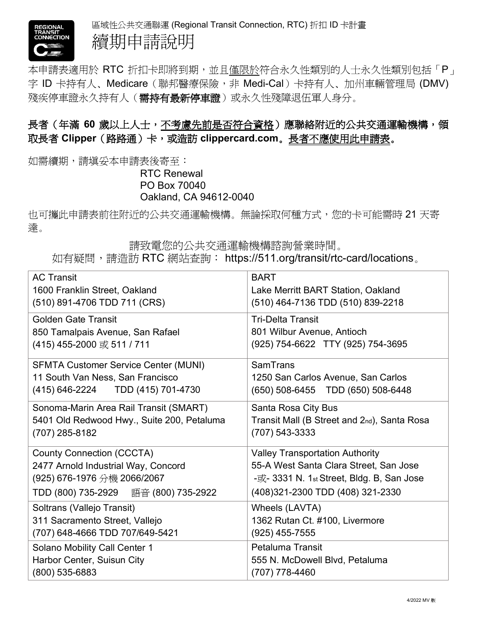

區域性公共交通聯運 (Regional Transit Connection, RTC) 折扣 ID 卡計畫 續期申請說明

本申請表適用於 RTC 折扣卡即將到期,並且僅限於符合永久性類別的人士永久性類別包括「P」 字 ID 卡持有人、Medicare (聯邦醫療保險, 非 Medi-Cal) 卡持有人、加州車輛管理局 (DMV) 殘疾停車證永久持有人(**需持有最新停車證**)或永久性殘障退伍軍人身分。

## 長者 (年滿 60 歲以上人士, 不考慮先前是否符合資格)應聯絡附近的公共交通運輸機構, 領 取長者 Clipper (路路通)卡,或造訪 [clippercard.com](http://clippercard.com)。長者不應使用此申請表。

如需續期,請填妥本申請表後寄至:

## RTC Renewal PO Box 70040 Oakland, CA 94612-0040

也可攜此申請表前往附近的公共交通運輸機構。無論採取何種方式,您的卡可能需時 21 天寄 達。

請致電您的公共交通運輸機構諮詢營業時間。

如有疑問,請造訪 RTC 網站查詢: <https://511.org/transit/rtc-card/locations>。

| <b>AC Transit</b>                           | <b>BART</b>                                 |
|---------------------------------------------|---------------------------------------------|
| 1600 Franklin Street, Oakland               | Lake Merritt BART Station, Oakland          |
| (510) 891-4706 TDD 711 (CRS)                | (510) 464-7136 TDD (510) 839-2218           |
| <b>Golden Gate Transit</b>                  | <b>Tri-Delta Transit</b>                    |
| 850 Tamalpais Avenue, San Rafael            | 801 Wilbur Avenue, Antioch                  |
| (415) 455-2000 或 511 / 711                  | (925) 754-6622 TTY (925) 754-3695           |
| <b>SFMTA Customer Service Center (MUNI)</b> | SamTrans                                    |
| 11 South Van Ness, San Francisco            | 1250 San Carlos Avenue, San Carlos          |
| (415) 646-2224 TDD (415) 701-4730           | (650) 508-6455 TDD (650) 508-6448           |
| Sonoma-Marin Area Rail Transit (SMART)      | Santa Rosa City Bus                         |
| 5401 Old Redwood Hwy., Suite 200, Petaluma  | Transit Mall (B Street and 2nd), Santa Rosa |
| (707) 285-8182                              | (707) 543-3333                              |
| <b>County Connection (CCCTA)</b>            | <b>Valley Transportation Authority</b>      |
| 2477 Arnold Industrial Way, Concord         | 55-A West Santa Clara Street, San Jose      |
| (925) 676-1976 分機 2066/2067                 | -或- 3331 N. 1st Street, Bldg. B, San Jose   |
| TDD (800) 735-2929 語音 (800) 735-2922        | (408) 321-2300 TDD (408) 321-2330           |
| Soltrans (Vallejo Transit)                  | Wheels (LAVTA)                              |
| 311 Sacramento Street, Vallejo              | 1362 Rutan Ct. #100, Livermore              |
| (707) 648-4666 TDD 707/649-5421             | $(925)$ 455-7555                            |
| Solano Mobility Call Center 1               | <b>Petaluma Transit</b>                     |
| Harbor Center, Suisun City                  | 555 N. McDowell Blvd, Petaluma              |
| (800) 535-6883                              | (707) 778-4460                              |